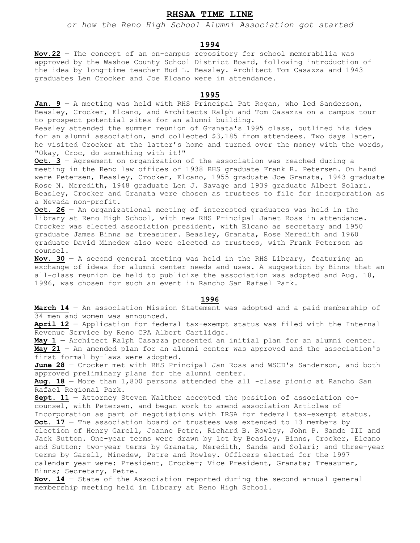# **RHSAA TIME LINE**

*or how the Reno High School Alumni Association got started*

### **1994**

**Nov.22** — The concept of an on-campus repository for school memorabilia was approved by the Washoe County School District Board, following introduction of the idea by long-time teacher Bud L. Beasley. Architect Tom Casazza and 1943 graduates Len Crocker and Joe Elcano were in attendance.

## **1995**

Jan. 9 - A meeting was held with RHS Principal Pat Rogan, who led Sanderson, Beasley, Crocker, Elcano, and Architects Ralph and Tom Casazza on a campus tour to prospect potential sites for an alumni building.

Beasley attended the summer reunion of Granata's 1995 class, outlined his idea for an alumni association, and collected \$3,185 from attendees. Two days later, he visited Crocker at the latter's home and turned over the money with the words, "Okay, Croc, do something with it!"

**Oct. 3** — Agreement on organization of the association was reached during a meeting in the Reno law offices of 1938 RHS graduate Frank R. Petersen. On hand were Petersen, Beasley, Crocker, Elcano, 1955 graduate Joe Granata, 1943 graduate Rose N. Meredith, 1948 graduate Len J. Savage and 1939 graduate Albert Solari. Beasley, Crocker and Granata were chosen as trustees to file for incorporation as a Nevada non-profit.

**Oct. 26** — An organizational meeting of interested graduates was held in the library at Reno High School, with new RHS Principal Janet Ross in attendance. Crocker was elected association president, with Elcano as secretary and 1950 graduate James Binns as treasurer. Beasley, Granata, Rose Meredith and 1960 graduate David Minedew also were elected as trustees, with Frank Petersen as counsel.

**Nov. 30** — A second general meeting was held in the RHS Library, featuring an exchange of ideas for alumni center needs and uses. A suggestion by Binns that an all-class reunion be held to publicize the association was adopted and Aug. 18, 1996, was chosen for such an event in Rancho San Rafael Park.

#### **1996**

**March 14** — An association Mission Statement was adopted and a paid membership of 34 men and women was announced.

**April 12** — Application for federal tax-exempt status was filed with the Internal Revenue Service by Reno CPA Albert Cartlidge.

**May 1** — Architect Ralph Casazza presented an initial plan for an alumni center. **May 21** — An amended plan for an alumni center was approved and the association's first formal by-laws were adopted.

**June 28** — Crocker met with RHS Principal Jan Ross and WSCD's Sanderson, and both approved preliminary plans for the alumni center.

**Aug. 18** — More than 1,800 persons attended the all -class picnic at Rancho San Rafael Regional Park.

**Sept. 11** — Attorney Steven Walther accepted the position of association cocounsel, with Petersen, and began work to amend association Articles of Incorporation as part of negotiations with IRSA for federal tax-exempt status.

**Oct. 17** - The association board of trustees was extended to 13 members by election of Henry Garell, Joanne Petre, Richard B. Rowley, John P. Sande III and Jack Sutton. One-year terms were drawn by lot by Beasley, Binns, Crocker, Elcano and Sutton; two-year terms by Granata, Meredith, Sande and Solari; and three-year terms by Garell, Minedew, Petre and Rowley. Officers elected for the 1997 calendar year were: President, Crocker; Vice President, Granata; Treasurer, Binns; Secretary, Petre.

**Nov. 14** — State of the Association reported during the second annual general membership meeting held in Library at Reno High School.